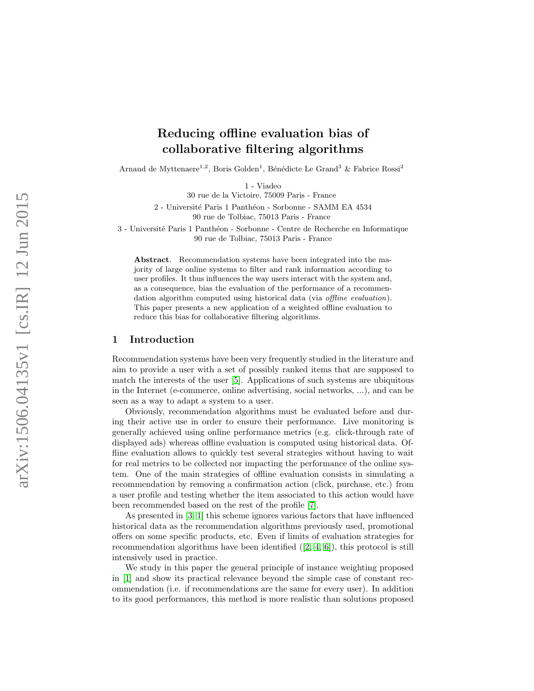# Reducing offline evaluation bias of collaborative filtering algorithms

Arnaud de Myttenaere<sup>1,2</sup>, Boris Golden<sup>1</sup>, Bénédicte Le Grand<sup>3</sup> & Fabrice Rossi<sup>2</sup>

1 - Viadeo

30 rue de la Victoire, 75009 Paris - France

2 - Université Paris 1 Panthéon - Sorbonne - SAMM EA 4534 90 rue de Tolbiac, 75013 Paris - France

3 - Université Paris 1 Panthéon - Sorbonne - Centre de Recherche en Informatique 90 rue de Tolbiac, 75013 Paris - France

Abstract. Recommendation systems have been integrated into the majority of large online systems to filter and rank information according to user profiles. It thus influences the way users interact with the system and, as a consequence, bias the evaluation of the performance of a recommendation algorithm computed using historical data (via offline evaluation). This paper presents a new application of a weighted offline evaluation to reduce this bias for collaborative filtering algorithms.

## 1 Introduction

Recommendation systems have been very frequently studied in the literature and aim to provide a user with a set of possibly ranked items that are supposed to match the interests of the user [\[5\]](#page-5-0). Applications of such systems are ubiquitous in the Internet (e-commerce, online advertising, social networks, ...), and can be seen as a way to adapt a system to a user.

Obviously, recommendation algorithms must be evaluated before and during their active use in order to ensure their performance. Live monitoring is generally achieved using online performance metrics (e.g. click-through rate of displayed ads) whereas offline evaluation is computed using historical data. Offline evaluation allows to quickly test several strategies without having to wait for real metrics to be collected nor impacting the performance of the online system. One of the main strategies of offline evaluation consists in simulating a recommendation by removing a confirmation action (click, purchase, etc.) from a user profile and testing whether the item associated to this action would have been recommended based on the rest of the profile [\[7\]](#page-5-1).

As presented in [\[3,](#page-5-2) [1\]](#page-5-3) this scheme ignores various factors that have influenced historical data as the recommendation algorithms previously used, promotional offers on some specific products, etc. Even if limits of evaluation strategies for recommendation algorithms have been identified  $([2, 4, 6])$  $([2, 4, 6])$  $([2, 4, 6])$  $([2, 4, 6])$  $([2, 4, 6])$ , this protocol is still intensively used in practice.

We study in this paper the general principle of instance weighting proposed in [\[1\]](#page-5-3) and show its practical relevance beyond the simple case of constant recommendation (i.e. if recommendations are the same for every user). In addition to its good performances, this method is more realistic than solutions proposed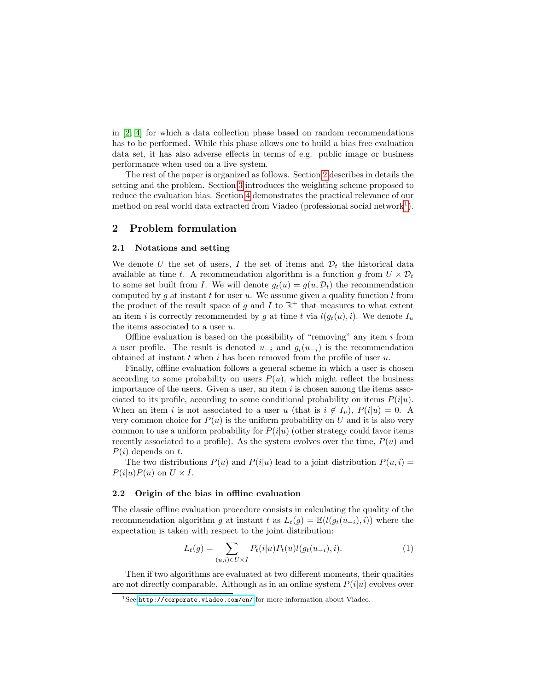in [\[2,](#page-5-4) [4\]](#page-5-5) for which a data collection phase based on random recommendations has to be performed. While this phase allows one to build a bias free evaluation data set, it has also adverse effects in terms of e.g. public image or business performance when used on a live system.

The rest of the paper is organized as follows. Section [2](#page-1-0) describes in details the setting and the problem. Section [3](#page-2-0) introduces the weighting scheme proposed to reduce the evaluation bias. Section [4](#page-3-0) demonstrates the practical relevance of our method on real world data extracted from Viadeo (professional social network<sup>[1](#page-1-1)</sup>).

## <span id="page-1-0"></span>2 Problem formulation

#### 2.1 Notations and setting

We denote U the set of users, I the set of items and  $\mathcal{D}_t$  the historical data available at time t. A recommendation algorithm is a function g from  $U \times \mathcal{D}_t$ to some set built from I. We will denote  $g_t(u) = g(u, \mathcal{D}_t)$  the recommendation computed by g at instant t for user u. We assume given a quality function  $l$  from the product of the result space of g and I to  $\mathbb{R}^+$  that measures to what extent an item i is correctly recommended by g at time t via  $l(g_t(u), i)$ . We denote  $I_u$ the items associated to a user  $u$ .

Offline evaluation is based on the possibility of "removing" any item  $i$  from a user profile. The result is denoted  $u_{-i}$  and  $g_t(u_{-i})$  is the recommendation obtained at instant  $t$  when  $i$  has been removed from the profile of user  $u$ .

Finally, offline evaluation follows a general scheme in which a user is chosen according to some probability on users  $P(u)$ , which might reflect the business importance of the users. Given a user, an item  $i$  is chosen among the items associated to its profile, according to some conditional probability on items  $P(i|u)$ . When an item i is not associated to a user u (that is  $i \notin I_u$ ),  $P(i|u) = 0$ . A very common choice for  $P(u)$  is the uniform probability on U and it is also very common to use a uniform probability for  $P(i|u)$  (other strategy could favor items recently associated to a profile). As the system evolves over the time,  $P(u)$  and  $P(i)$  depends on t.

The two distributions  $P(u)$  and  $P(i|u)$  lead to a joint distribution  $P(u, i)$  $P(i|u)P(u)$  on  $U \times I$ .

#### 2.2 Origin of the bias in offline evaluation

The classic offline evaluation procedure consists in calculating the quality of the recommendation algorithm g at instant t as  $L_t(q) = \mathbb{E}(l(q_t(u_{-i}), i))$  where the expectation is taken with respect to the joint distribution:

<span id="page-1-2"></span>
$$
L_t(g) = \sum_{(u,i) \in U \times I} P_t(i|u) P_t(u) l(g_t(u_{-i}), i).
$$
 (1)

Then if two algorithms are evaluated at two different moments, their qualities are not directly comparable. Although as in an online system  $P(i|u)$  evolves over

<span id="page-1-1"></span> $1$ See <http://corporate.viadeo.com/en/> for more information about Viadeo.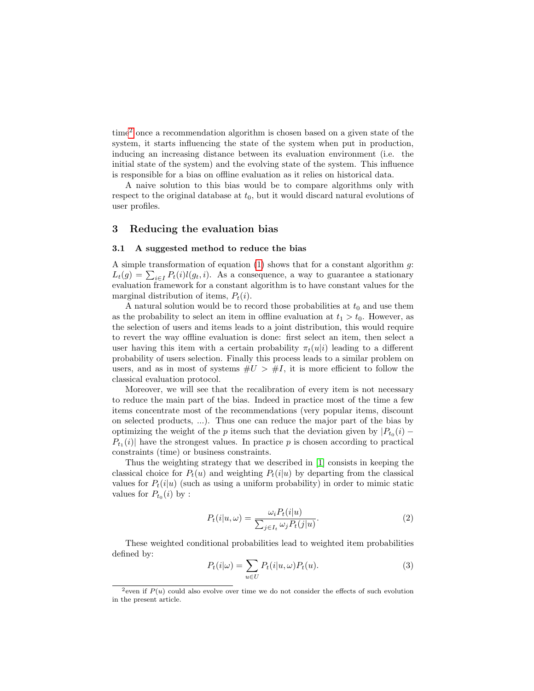time[2](#page-2-1) once a recommendation algorithm is chosen based on a given state of the system, it starts influencing the state of the system when put in production, inducing an increasing distance between its evaluation environment (i.e. the initial state of the system) and the evolving state of the system. This influence is responsible for a bias on offline evaluation as it relies on historical data.

A naive solution to this bias would be to compare algorithms only with respect to the original database at  $t_0$ , but it would discard natural evolutions of user profiles.

## <span id="page-2-0"></span>3 Reducing the evaluation bias

#### 3.1 A suggested method to reduce the bias

A simple transformation of equation  $(1)$  shows that for a constant algorithm g:  $L_t(g) = \sum_{i \in I} P_t(i)l(g_t, i)$ . As a consequence, a way to guarantee a stationary evaluation framework for a constant algorithm is to have constant values for the marginal distribution of items,  $P_t(i)$ .

A natural solution would be to record those probabilities at  $t_0$  and use them as the probability to select an item in offline evaluation at  $t_1 > t_0$ . However, as the selection of users and items leads to a joint distribution, this would require to revert the way offline evaluation is done: first select an item, then select a user having this item with a certain probability  $\pi_t(u|i)$  leading to a different probability of users selection. Finally this process leads to a similar problem on users, and as in most of systems  $\#U > \#I$ , it is more efficient to follow the classical evaluation protocol.

Moreover, we will see that the recalibration of every item is not necessary to reduce the main part of the bias. Indeed in practice most of the time a few items concentrate most of the recommendations (very popular items, discount on selected products, ...). Thus one can reduce the major part of the bias by optimizing the weight of the p items such that the deviation given by  $|P_{t_0}(i) P_{t_1}(i)$  have the strongest values. In practice p is chosen according to practical constraints (time) or business constraints.

Thus the weighting strategy that we described in [\[1\]](#page-5-3) consists in keeping the classical choice for  $P_t(u)$  and weighting  $P_t(i|u)$  by departing from the classical values for  $P_t(i|u)$  (such as using a uniform probability) in order to mimic static values for  $P_{t_0}(i)$  by :

$$
P_t(i|u,\omega) = \frac{\omega_i P_t(i|u)}{\sum_{j \in I_t} \omega_j P_t(j|u)}.\tag{2}
$$

These weighted conditional probabilities lead to weighted item probabilities defined by:

$$
P_t(i|\omega) = \sum_{u \in U} P_t(i|u, \omega) P_t(u).
$$
\n(3)

<span id="page-2-1"></span><sup>&</sup>lt;sup>2</sup>even if  $P(u)$  could also evolve over time we do not consider the effects of such evolution in the present article.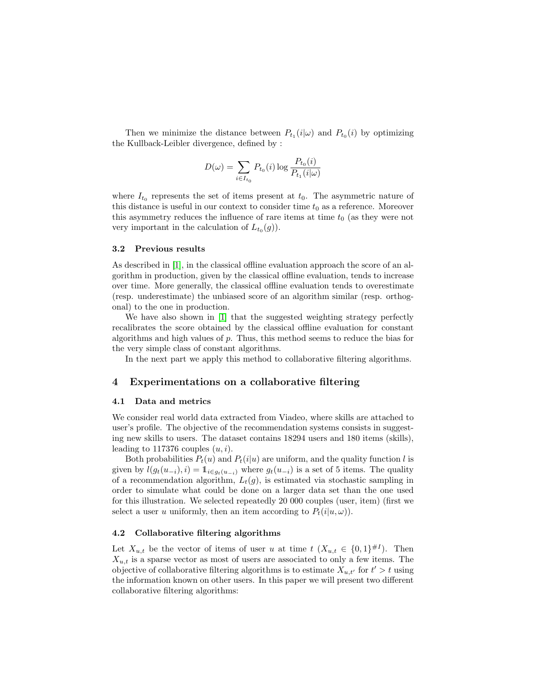Then we minimize the distance between  $P_{t_1}(i|\omega)$  and  $P_{t_0}(i)$  by optimizing the Kullback-Leibler divergence, defined by :

$$
D(\omega) = \sum_{i \in I_{t_0}} P_{t_0}(i) \log \frac{P_{t_0}(i)}{P_{t_1}(i|\omega)}
$$

where  $I_{t_0}$  represents the set of items present at  $t_0$ . The asymmetric nature of this distance is useful in our context to consider time  $t_0$  as a reference. Moreover this asymmetry reduces the influence of rare items at time  $t_0$  (as they were not very important in the calculation of  $L_{t_0}(g)$ .

#### 3.2 Previous results

As described in [\[1\]](#page-5-3), in the classical offline evaluation approach the score of an algorithm in production, given by the classical offline evaluation, tends to increase over time. More generally, the classical offline evaluation tends to overestimate (resp. underestimate) the unbiased score of an algorithm similar (resp. orthogonal) to the one in production.

We have also shown in [\[1\]](#page-5-3) that the suggested weighting strategy perfectly recalibrates the score obtained by the classical offline evaluation for constant algorithms and high values of p. Thus, this method seems to reduce the bias for the very simple class of constant algorithms.

In the next part we apply this method to collaborative filtering algorithms.

## <span id="page-3-0"></span>4 Experimentations on a collaborative filtering

### 4.1 Data and metrics

We consider real world data extracted from Viadeo, where skills are attached to user's profile. The objective of the recommendation systems consists in suggesting new skills to users. The dataset contains 18294 users and 180 items (skills), leading to 117376 couples  $(u, i)$ .

Both probabilities  $P_t(u)$  and  $P_t(i|u)$  are uniform, and the quality function l is given by  $l(g_t(u_{-i}), i) = \mathbb{1}_{i \in g_t(u_{-i})}$  where  $g_t(u_{-i})$  is a set of 5 items. The quality of a recommendation algorithm,  $L_t(g)$ , is estimated via stochastic sampling in order to simulate what could be done on a larger data set than the one used for this illustration. We selected repeatedly 20 000 couples (user, item) (first we select a user u uniformly, then an item according to  $P_t(i|u,\omega)$ .

### <span id="page-3-1"></span>4.2 Collaborative filtering algorithms

Let  $X_{u,t}$  be the vector of items of user u at time  $t$   $(X_{u,t} \in \{0,1\}^{\#I})$ . Then  $X_{u,t}$  is a sparse vector as most of users are associated to only a few items. The objective of collaborative filtering algorithms is to estimate  $X_{u,t'}$  for  $t' > t$  using the information known on other users. In this paper we will present two different collaborative filtering algorithms: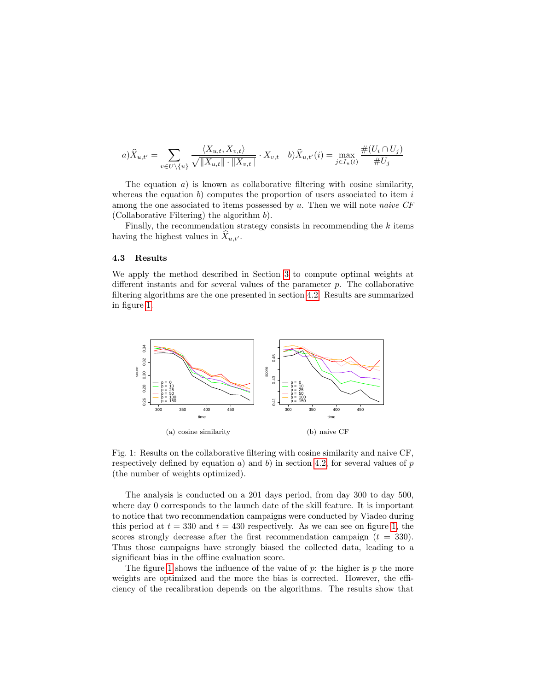$$
a)\hat{X}_{u,t'} = \sum_{v \in U \setminus \{u\}} \frac{\langle X_{u,t}, X_{v,t} \rangle}{\sqrt{||X_{u,t}|| \cdot ||X_{v,t}||}} \cdot X_{v,t} \quad b)\hat{X}_{u,t'}(i) = \max_{j \in I_u(t)} \frac{\#(U_i \cap U_j)}{\#U_j}
$$

The equation  $a$ ) is known as collaborative filtering with cosine similarity, whereas the equation b) computes the proportion of users associated to item  $i$ among the one associated to items possessed by  $u$ . Then we will note *naive*  $CF$ (Collaborative Filtering) the algorithm b).

Finally, the recommendation strategy consists in recommending the  $k$  items having the highest values in  $X_{u,t'}$ .

#### 4.3 Results

We apply the method described in Section [3](#page-2-0) to compute optimal weights at different instants and for several values of the parameter  $p$ . The collaborative filtering algorithms are the one presented in section [4.2.](#page-3-1) Results are summarized in figure [1.](#page-4-0)



<span id="page-4-0"></span>Fig. 1: Results on the collaborative filtering with cosine similarity and naive CF, respectively defined by equation a) and b) in section [4.2,](#page-3-1) for several values of p (the number of weights optimized).

The analysis is conducted on a 201 days period, from day 300 to day 500, where day 0 corresponds to the launch date of the skill feature. It is important to notice that two recommendation campaigns were conducted by Viadeo during this period at  $t = 330$  and  $t = 430$  respectively. As we can see on figure [1,](#page-4-0) the scores strongly decrease after the first recommendation campaign  $(t = 330)$ . Thus those campaigns have strongly biased the collected data, leading to a significant bias in the offline evaluation score.

The figure [1](#page-4-0) shows the influence of the value of  $p$ : the higher is  $p$  the more weights are optimized and the more the bias is corrected. However, the efficiency of the recalibration depends on the algorithms. The results show that